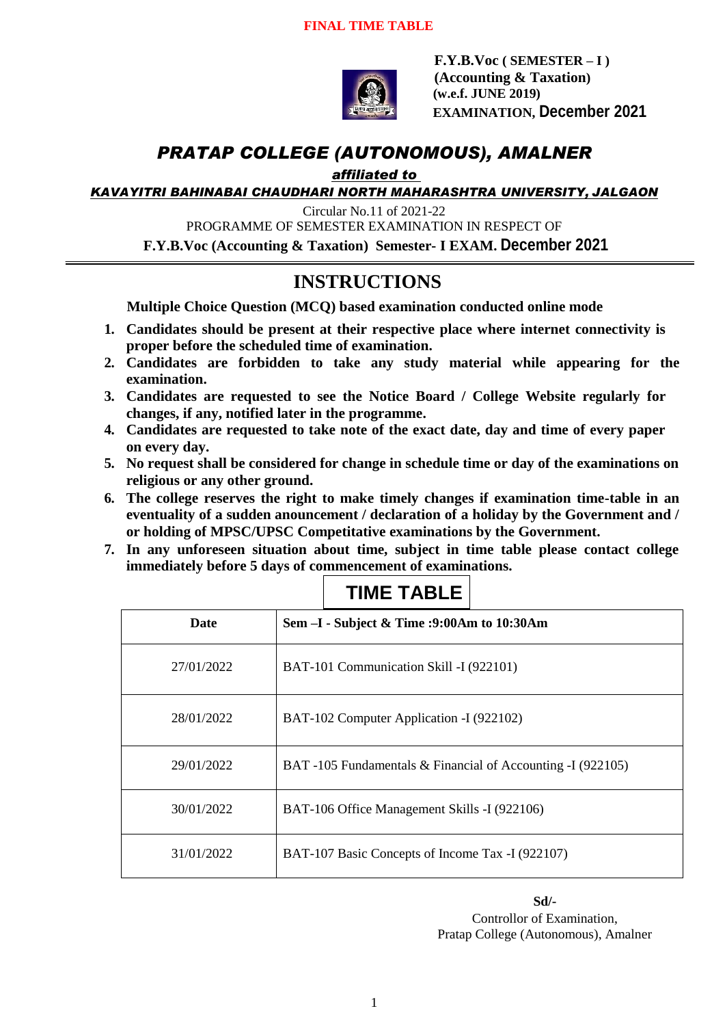

 **F.Y.B.Voc ( SEMESTER – I ) (Accounting & Taxation) (w.e.f. JUNE 2019) EXAMINATION, December 2021**

# *PRATAP COLLEGE (AUTONOMOUS), AMALNER*

*affiliated to* 

*KAVAYITRI BAHINABAI CHAUDHARI NORTH MAHARASHTRA UNIVERSITY, JALGAON*

Circular No.11 of 2021-22 PROGRAMME OF SEMESTER EXAMINATION IN RESPECT OF **F.Y.B.Voc (Accounting & Taxation) Semester- I EXAM. December 2021**

# **INSTRUCTIONS**

**Multiple Choice Question (MCQ) based examination conducted online mode**

- **1. Candidates should be present at their respective place where internet connectivity is proper before the scheduled time of examination.**
- **2. Candidates are forbidden to take any study material while appearing for the examination.**
- **3. Candidates are requested to see the Notice Board / College Website regularly for changes, if any, notified later in the programme.**
- **4. Candidates are requested to take note of the exact date, day and time of every paper on every day.**
- **5. No request shall be considered for change in schedule time or day of the examinations on religious or any other ground.**
- **6. The college reserves the right to make timely changes if examination time-table in an eventuality of a sudden anouncement / declaration of a holiday by the Government and / or holding of MPSC/UPSC Competitative examinations by the Government.**
- **7. In any unforeseen situation about time, subject in time table please contact college immediately before 5 days of commencement of examinations.**

| <b>Date</b> | Sem -I - Subject & Time :9:00Am to 10:30Am                  |
|-------------|-------------------------------------------------------------|
| 27/01/2022  | BAT-101 Communication Skill -I (922101)                     |
| 28/01/2022  | BAT-102 Computer Application -I (922102)                    |
| 29/01/2022  | BAT -105 Fundamentals & Financial of Accounting -I (922105) |
| 30/01/2022  | BAT-106 Office Management Skills -I (922106)                |
| 31/01/2022  | BAT-107 Basic Concepts of Income Tax -I (922107)            |

## **TIME TABLE**

**Sd/-** Controllor of Examination, Pratap College (Autonomous), Amalner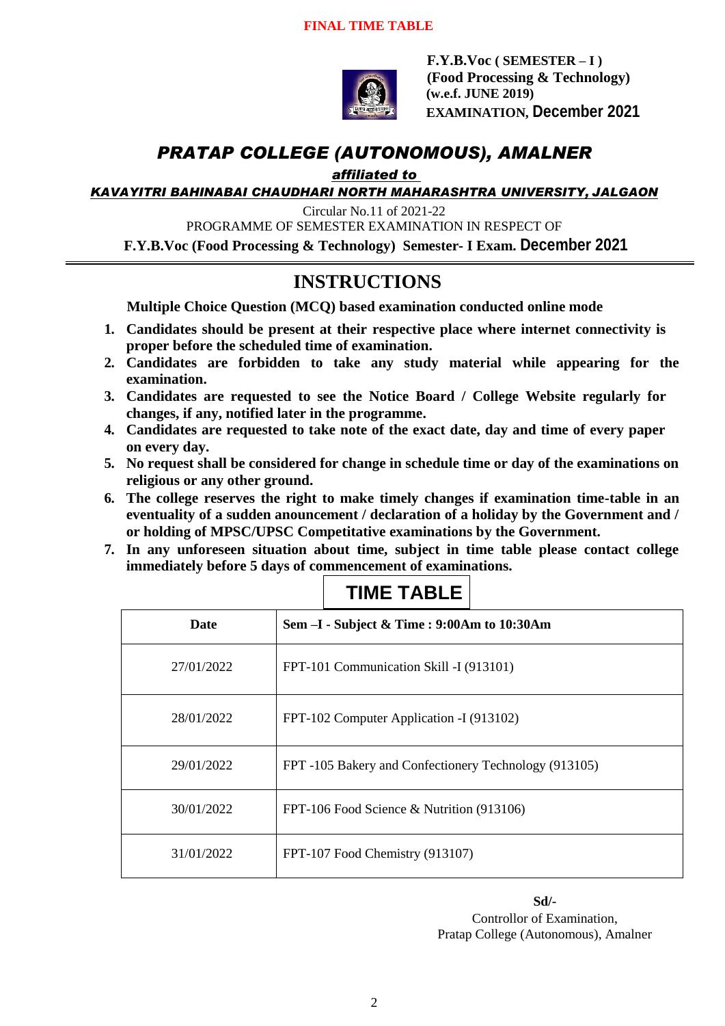

 **F.Y.B.Voc ( SEMESTER – I ) (Food Processing & Technology) (w.e.f. JUNE 2019) EXAMINATION, December 2021**

# *PRATAP COLLEGE (AUTONOMOUS), AMALNER*

*affiliated to* 

*KAVAYITRI BAHINABAI CHAUDHARI NORTH MAHARASHTRA UNIVERSITY, JALGAON*

Circular No.11 of 2021-22

PROGRAMME OF SEMESTER EXAMINATION IN RESPECT OF

**F.Y.B.Voc (Food Processing & Technology) Semester- I Exam. December 2021**

### **INSTRUCTIONS**

**Multiple Choice Question (MCQ) based examination conducted online mode**

- **1. Candidates should be present at their respective place where internet connectivity is proper before the scheduled time of examination.**
- **2. Candidates are forbidden to take any study material while appearing for the examination.**
- **3. Candidates are requested to see the Notice Board / College Website regularly for changes, if any, notified later in the programme.**
- **4. Candidates are requested to take note of the exact date, day and time of every paper on every day.**
- **5. No request shall be considered for change in schedule time or day of the examinations on religious or any other ground.**
- **6. The college reserves the right to make timely changes if examination time-table in an eventuality of a sudden anouncement / declaration of a holiday by the Government and / or holding of MPSC/UPSC Competitative examinations by the Government.**
- **7. In any unforeseen situation about time, subject in time table please contact college immediately before 5 days of commencement of examinations.**

| <b>Date</b> | Sem -I - Subject & Time : 9:00Am to 10:30Am           |
|-------------|-------------------------------------------------------|
| 27/01/2022  | FPT-101 Communication Skill -I (913101)               |
| 28/01/2022  | FPT-102 Computer Application -I (913102)              |
| 29/01/2022  | FPT -105 Bakery and Confectionery Technology (913105) |
| 30/01/2022  | FPT-106 Food Science & Nutrition (913106)             |
| 31/01/2022  | FPT-107 Food Chemistry (913107)                       |

## **TIME TABLE**

**Sd/-** Controllor of Examination, Pratap College (Autonomous), Amalner